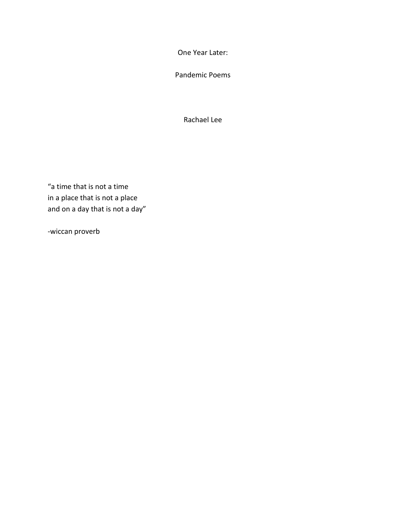One Year Later:

Pandemic Poems

Rachael Lee

"a time that is not a time in a place that is not a place and on a day that is not a day"

-wiccan proverb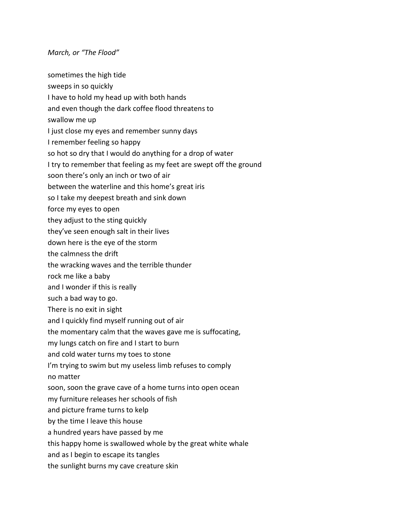### *March, or "The Flood"*

sometimes the high tide sweeps in so quickly I have to hold my head up with both hands and even though the dark coffee flood threatens to swallow me up I just close my eyes and remember sunny days I remember feeling so happy so hot so dry that I would do anything for a drop of water I try to remember that feeling as my feet are swept off the ground soon there's only an inch or two of air between the waterline and this home's great iris so I take my deepest breath and sink down force my eyes to open they adjust to the sting quickly they've seen enough salt in their lives down here is the eye of the storm the calmness the drift the wracking waves and the terrible thunder rock me like a baby and I wonder if this is really such a bad way to go. There is no exit in sight and I quickly find myself running out of air the momentary calm that the waves gave me is suffocating, my lungs catch on fire and I start to burn and cold water turns my toes to stone I'm trying to swim but my useless limb refuses to comply no matter soon, soon the grave cave of a home turns into open ocean my furniture releases her schools of fish and picture frame turns to kelp by the time I leave this house

- a hundred years have passed by me
- this happy home is swallowed whole by the great white whale
- and as I begin to escape its tangles
- the sunlight burns my cave creature skin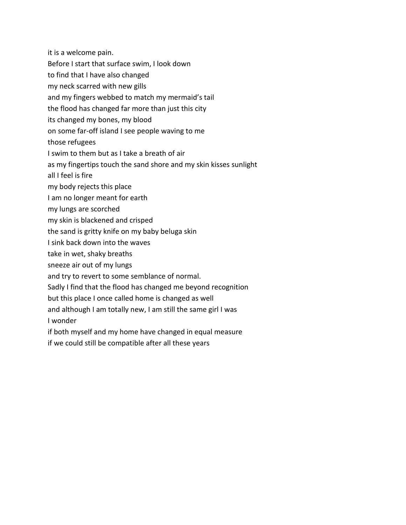- it is a welcome pain.
- Before I start that surface swim, I look down
- to find that I have also changed
- my neck scarred with new gills
- and my fingers webbed to match my mermaid's tail
- the flood has changed far more than just this city
- its changed my bones, my blood
- on some far-off island I see people waving to me
- those refugees
- I swim to them but as I take a breath of air
- as my fingertips touch the sand shore and my skin kisses sunlight
- all I feel is fire
- my body rejects this place
- I am no longer meant for earth
- my lungs are scorched
- my skin is blackened and crisped
- the sand is gritty knife on my baby beluga skin
- I sink back down into the waves
- take in wet, shaky breaths
- sneeze air out of my lungs
- and try to revert to some semblance of normal.
- Sadly I find that the flood has changed me beyond recognition
- but this place I once called home is changed as well
- and although I am totally new, I am still the same girl I was I wonder
- if both myself and my home have changed in equal measure
- if we could still be compatible after all these years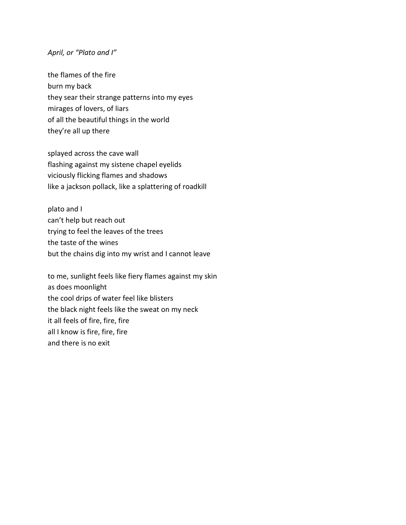# *April, or "Plato and I"*

the flames of the fire burn my back they sear their strange patterns into my eyes mirages of lovers, of liars of all the beautiful things in the world they're all up there

splayed across the cave wall flashing against my sistene chapel eyelids viciously flicking flames and shadows like a jackson pollack, like a splattering of roadkill

plato and I can't help but reach out trying to feel the leaves of the trees the taste of the wines but the chains dig into my wrist and I cannot leave

to me, sunlight feels like fiery flames against my skin as does moonlight the cool drips of water feel like blisters the black night feels like the sweat on my neck it all feels of fire, fire, fire all I know is fire, fire, fire and there is no exit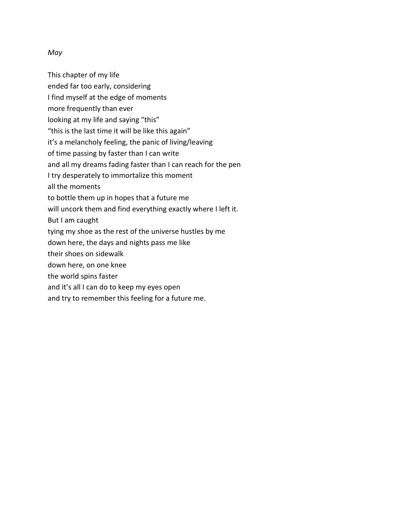# *May*

- This chapter of my life
- ended far too early, considering
- I find myself at the edge of moments
- more frequently than ever
- looking at my life and saying "this"
- "this is the last time it will be like this again"
- it's a melancholy feeling, the panic of living/leaving
- of time passing by faster than I can write
- and all my dreams fading faster than I can reach for the pen
- I try desperately to immortalize this moment
- all the moments
- to bottle them up in hopes that a future me
- will uncork them and find everything exactly where I left it.
- But I am caught
- tying my shoe as the rest of the universe hustles by me
- down here, the days and nights pass me like
- their shoes on sidewalk
- down here, on one knee
- the world spins faster
- and it's all I can do to keep my eyes open
- and try to remember this feeling for a future me.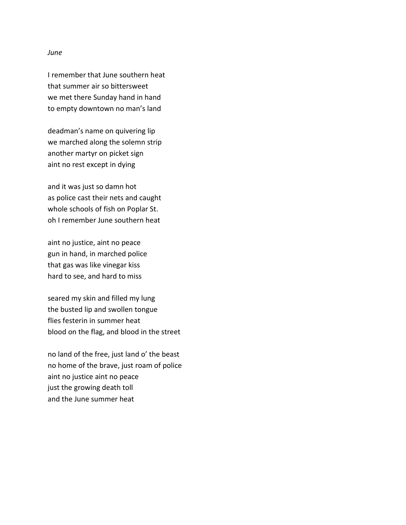#### *June*

I remember that June southern heat that summer air so bittersweet we met there Sunday hand in hand to empty downtown no man's land

deadman's name on quivering lip we marched along the solemn strip another martyr on picket sign aint no rest except in dying

and it was just so damn hot as police cast their nets and caught whole schools of fish on Poplar St. oh I remember June southern heat

aint no justice, aint no peace gun in hand, in marched police that gas was like vinegar kiss hard to see, and hard to miss

seared my skin and filled my lung the busted lip and swollen tongue flies festerin in summer heat blood on the flag, and blood in the street

no land of the free, just land o' the beast no home of the brave, just roam of police aint no justice aint no peace just the growing death toll and the June summer heat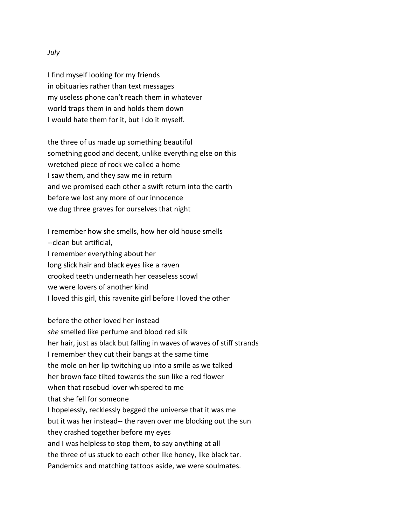### *July*

I find myself looking for my friends in obituaries rather than text messages my useless phone can't reach them in whatever world traps them in and holds them down I would hate them for it, but I do it myself.

the three of us made up something beautiful something good and decent, unlike everything else on this wretched piece of rock we called a home I saw them, and they saw me in return and we promised each other a swift return into the earth before we lost any more of our innocence we dug three graves for ourselves that night

I remember how she smells, how her old house smells --clean but artificial, I remember everything about her long slick hair and black eyes like a raven crooked teeth underneath her ceaseless scowl we were lovers of another kind I loved this girl, this ravenite girl before I loved the other

before the other loved her instead *she* smelled like perfume and blood red silk her hair, just as black but falling in waves of waves of stiff strands I remember they cut their bangs at the same time the mole on her lip twitching up into a smile as we talked her brown face tilted towards the sun like a red flower when that rosebud lover whispered to me that she fell for someone I hopelessly, recklessly begged the universe that it was me but it was her instead-- the raven over me blocking out the sun they crashed together before my eyes and I was helpless to stop them, to say anything at all the three of us stuck to each other like honey, like black tar. Pandemics and matching tattoos aside, we were soulmates.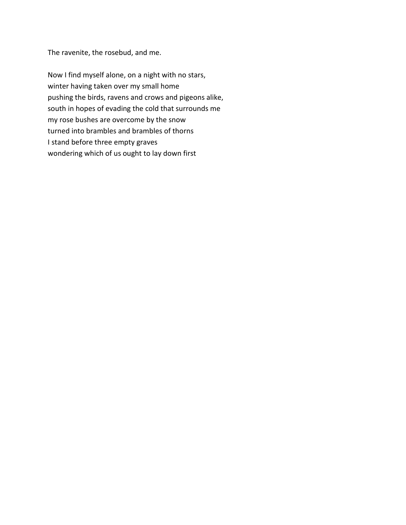The ravenite, the rosebud, and me.

Now I find myself alone, on a night with no stars, winter having taken over my small home pushing the birds, ravens and crows and pigeons alike, south in hopes of evading the cold that surrounds me my rose bushes are overcome by the snow turned into brambles and brambles of thorns I stand before three empty graves wondering which of us ought to lay down first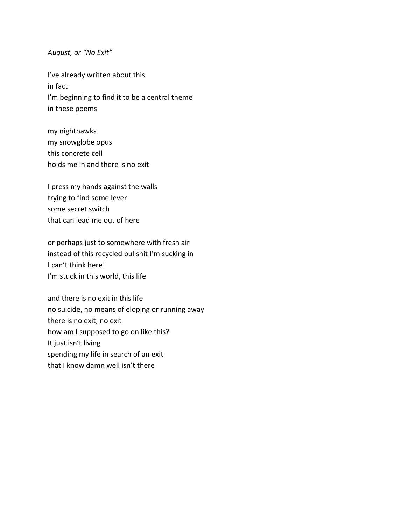### *August, or "No Exit"*

I've already written about this in fact I'm beginning to find it to be a central theme in these poems

my nighthawks my snowglobe opus this concrete cell holds me in and there is no exit

I press my hands against the walls trying to find some lever some secret switch that can lead me out of here

or perhaps just to somewhere with fresh air instead of this recycled bullshit I'm sucking in I can't think here! I'm stuck in this world, this life

and there is no exit in this life no suicide, no means of eloping or running away there is no exit, no exit how am I supposed to go on like this? It just isn't living spending my life in search of an exit that I know damn well isn't there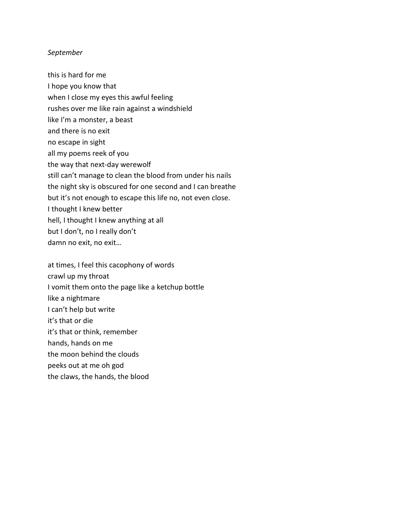# *September*

- this is hard for me I hope you know that when I close my eyes this awful feeling rushes over me like rain against a windshield like I'm a monster, a beast and there is no exit no escape in sight all my poems reek of you the way that next-day werewolf still can't manage to clean the blood from under his nails the night sky is obscured for one second and I can breathe but it's not enough to escape this life no, not even close. I thought I knew better hell, I thought I knew anything at all but I don't, no I really don't damn no exit, no exit…
- at times, I feel this cacophony of words crawl up my throat I vomit them onto the page like a ketchup bottle like a nightmare I can't help but write it's that or die it's that or think, remember hands, hands on me the moon behind the clouds peeks out at me oh god the claws, the hands, the blood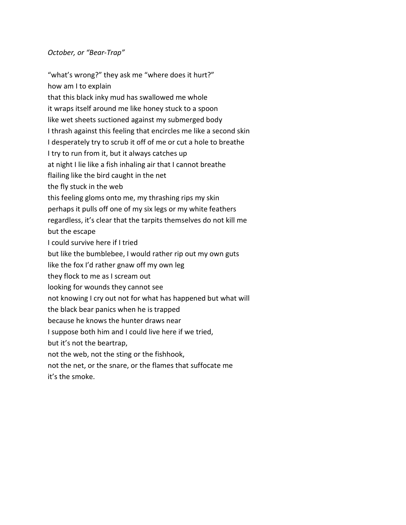# *October, or "Bear-Trap"*

"what's wrong?" they ask me "where does it hurt?" how am I to explain that this black inky mud has swallowed me whole it wraps itself around me like honey stuck to a spoon like wet sheets suctioned against my submerged body I thrash against this feeling that encircles me like a second skin I desperately try to scrub it off of me or cut a hole to breathe I try to run from it, but it always catches up at night I lie like a fish inhaling air that I cannot breathe flailing like the bird caught in the net the fly stuck in the web this feeling gloms onto me, my thrashing rips my skin perhaps it pulls off one of my six legs or my white feathers regardless, it's clear that the tarpits themselves do not kill me but the escape I could survive here if I tried but like the bumblebee, I would rather rip out my own guts like the fox I'd rather gnaw off my own leg they flock to me as I scream out looking for wounds they cannot see not knowing I cry out not for what has happened but what will the black bear panics when he is trapped because he knows the hunter draws near I suppose both him and I could live here if we tried, but it's not the beartrap, not the web, not the sting or the fishhook, not the net, or the snare, or the flames that suffocate me it's the smoke.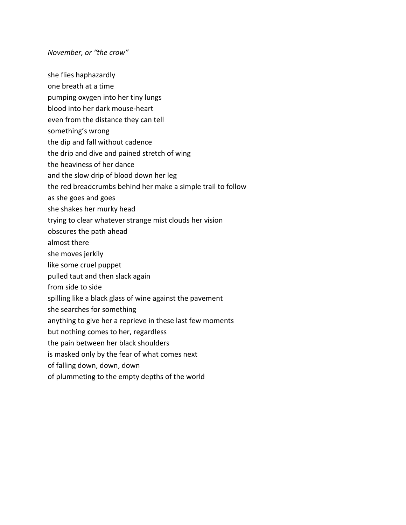### *November, or "the crow"*

she flies haphazardly one breath at a time

- 
- pumping oxygen into her tiny lungs
- blood into her dark mouse-heart
- even from the distance they can tell
- something's wrong
- the dip and fall without cadence
- the drip and dive and pained stretch of wing
- the heaviness of her dance
- and the slow drip of blood down her leg
- the red breadcrumbs behind her make a simple trail to follow
- as she goes and goes
- she shakes her murky head
- trying to clear whatever strange mist clouds her vision
- obscures the path ahead
- almost there
- she moves jerkily
- like some cruel puppet
- pulled taut and then slack again
- from side to side
- spilling like a black glass of wine against the pavement
- she searches for something
- anything to give her a reprieve in these last few moments
- but nothing comes to her, regardless
- the pain between her black shoulders
- is masked only by the fear of what comes next
- of falling down, down, down
- of plummeting to the empty depths of the world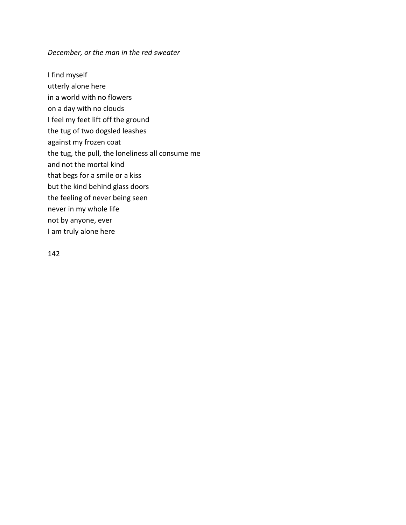*December, or the man in the red sweater*

I find myself

- utterly alone here
- in a world with no flowers
- on a day with no clouds
- I feel my feet lift off the ground
- the tug of two dogsled leashes
- against my frozen coat
- the tug, the pull, the loneliness all consume me
- and not the mortal kind
- that begs for a smile or a kiss
- but the kind behind glass doors
- the feeling of never being seen
- never in my whole life
- not by anyone, ever
- I am truly alone here

142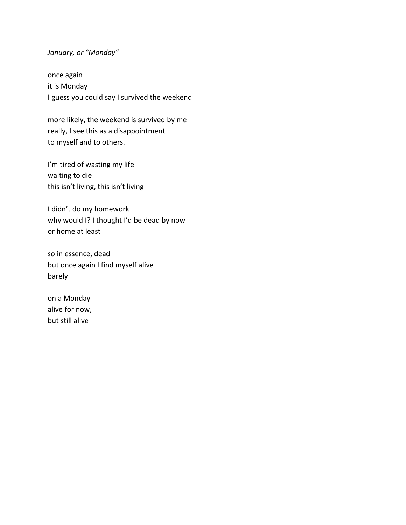# *January, or "Monday"*

once again it is Monday I guess you could say I survived the weekend

more likely, the weekend is survived by me really, I see this as a disappointment to myself and to others.

I'm tired of wasting my life waiting to die this isn't living, this isn't living

I didn't do my homework why would I? I thought I'd be dead by now or home at least

so in essence, dead but once again I find myself alive barely

on a Monday alive for now, but still alive